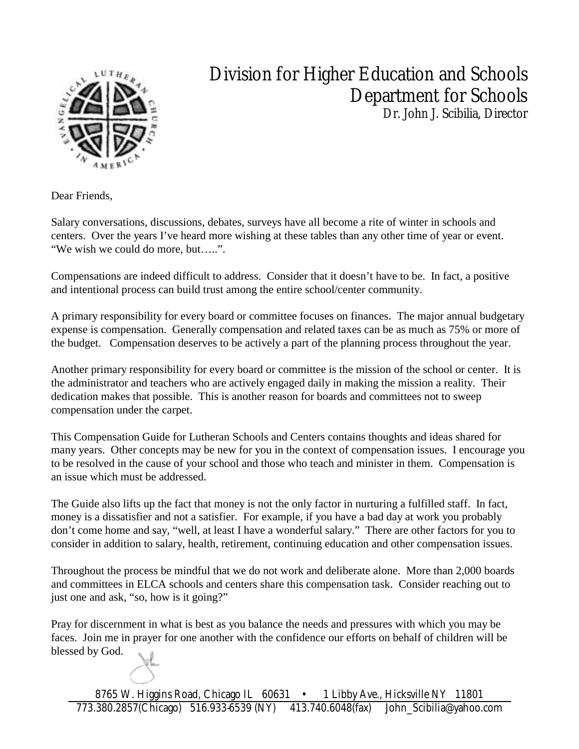

# Division for Higher Education and Schools Department for Schools

Dr. John J. Scibilia, Director

Dear Friends,

Salary conversations, discussions, debates, surveys have all become a rite of winter in schools and centers. Over the years I've heard more wishing at these tables than any other time of year or event. "We wish we could do more, but…..".

Compensations are indeed difficult to address. Consider that it doesn't have to be. In fact, a positive and intentional process can build trust among the entire school/center community.

A primary responsibility for every board or committee focuses on finances. The major annual budgetary expense is compensation. Generally compensation and related taxes can be as much as 75% or more of the budget. Compensation deserves to be actively a part of the planning process throughout the year.

Another primary responsibility for every board or committee is the mission of the school or center. It is the administrator and teachers who are actively engaged daily in making the mission a reality. Their dedication makes that possible. This is another reason for boards and committees not to sweep compensation under the carpet.

This Compensation Guide for Lutheran Schools and Centers contains thoughts and ideas shared for many years. Other concepts may be new for you in the context of compensation issues. I encourage you to be resolved in the cause of your school and those who teach and minister in them. Compensation is an issue which must be addressed.

The Guide also lifts up the fact that money is not the only factor in nurturing a fulfilled staff. In fact, money is a dissatisfier and not a satisfier. For example, if you have a bad day at work you probably don't come home and say, "well, at least I have a wonderful salary." There are other factors for you to consider in addition to salary, health, retirement, continuing education and other compensation issues.

Throughout the process be mindful that we do not work and deliberate alone. More than 2,000 boards and committees in ELCA schools and centers share this compensation task. Consider reaching out to just one and ask, "so, how is it going?"

Pray for discernment in what is best as you balance the needs and pressures with which you may be faces. Join me in prayer for one another with the confidence our efforts on behalf of children will be blessed by God.

8765 W. Higgins Road, Chicago IL 60631 • 1 Libby Ave., Hicksville NY 11801 773.380.2857(Chicago) 516.933-6539 (NY) 413.740.6048(fax) John\_Scibilia@yahoo.com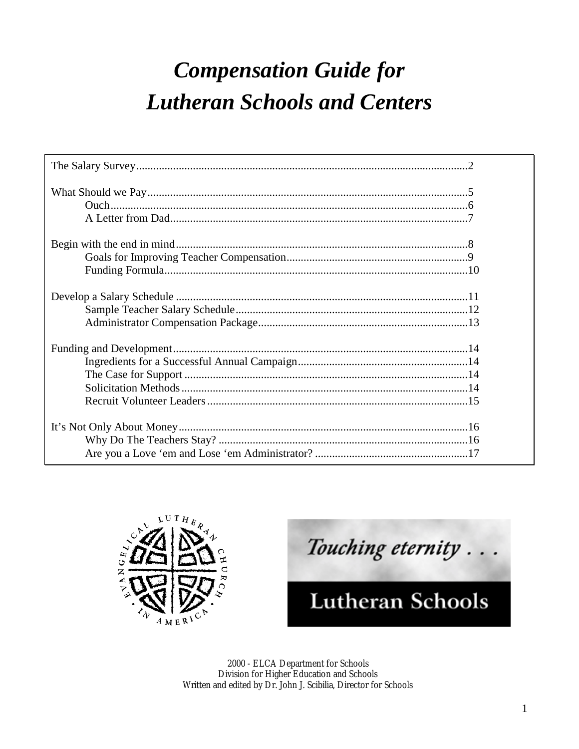# **Compensation Guide for Lutheran Schools and Centers**



Touching eternity. **Lutheran Schools** 

2000 - ELCA Department for Schools Division for Higher Education and Schools Written and edited by Dr. John J. Scibilia, Director for Schools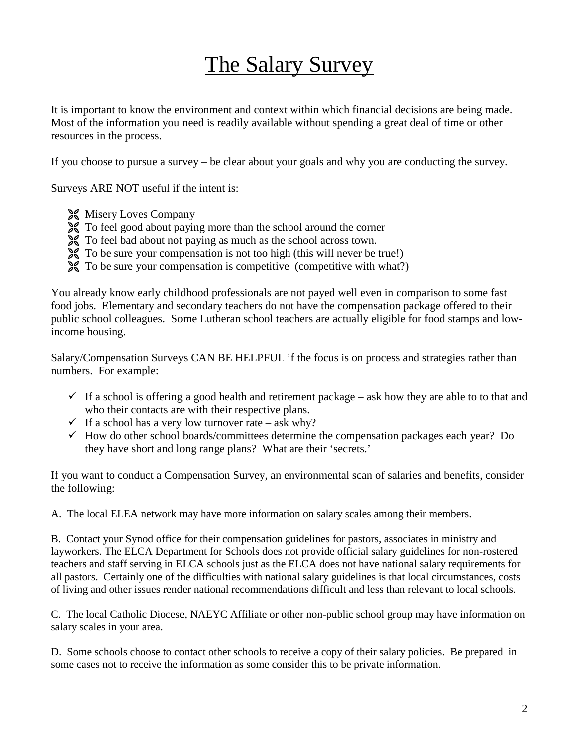# The Salary Survey

It is important to know the environment and context within which financial decisions are being made. Most of the information you need is readily available without spending a great deal of time or other resources in the process.

If you choose to pursue a survey – be clear about your goals and why you are conducting the survey.

Surveys ARE NOT useful if the intent is:

- **X** Misery Loves Company
- ! To feel good about paying more than the school around the corner
- ! To feel bad about not paying as much as the school across town.
- ! To be sure your compensation is not too high (this will never be true!)
- ! To be sure your compensation is competitive (competitive with what?)

You already know early childhood professionals are not payed well even in comparison to some fast food jobs. Elementary and secondary teachers do not have the compensation package offered to their public school colleagues. Some Lutheran school teachers are actually eligible for food stamps and lowincome housing.

Salary/Compensation Surveys CAN BE HELPFUL if the focus is on process and strategies rather than numbers. For example:

- $\checkmark$  If a school is offering a good health and retirement package ask how they are able to to that and who their contacts are with their respective plans.
- $\checkmark$  If a school has a very low turnover rate ask why?
- $\checkmark$  How do other school boards/committees determine the compensation packages each year? Do they have short and long range plans? What are their 'secrets.'

If you want to conduct a Compensation Survey, an environmental scan of salaries and benefits, consider the following:

A. The local ELEA network may have more information on salary scales among their members.

B. Contact your Synod office for their compensation guidelines for pastors, associates in ministry and layworkers. The ELCA Department for Schools does not provide official salary guidelines for non-rostered teachers and staff serving in ELCA schools just as the ELCA does not have national salary requirements for all pastors. Certainly one of the difficulties with national salary guidelines is that local circumstances, costs of living and other issues render national recommendations difficult and less than relevant to local schools.

C. The local Catholic Diocese, NAEYC Affiliate or other non-public school group may have information on salary scales in your area.

D. Some schools choose to contact other schools to receive a copy of their salary policies. Be prepared in some cases not to receive the information as some consider this to be private information.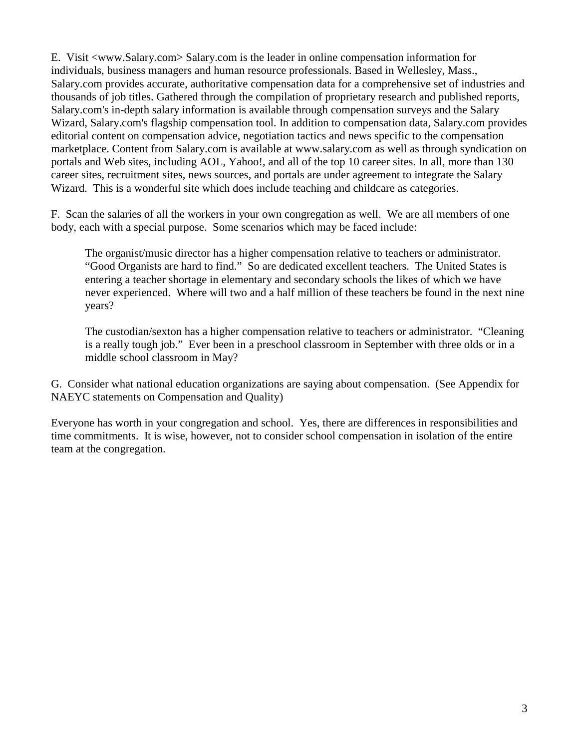E. Visit <www.Salary.com> Salary.com is the leader in online compensation information for individuals, business managers and human resource professionals. Based in Wellesley, Mass., Salary.com provides accurate, authoritative compensation data for a comprehensive set of industries and thousands of job titles. Gathered through the compilation of proprietary research and published reports, Salary.com's in-depth salary information is available through compensation surveys and the Salary Wizard, Salary.com's flagship compensation tool. In addition to compensation data, Salary.com provides editorial content on compensation advice, negotiation tactics and news specific to the compensation marketplace. Content from Salary.com is available at www.salary.com as well as through syndication on portals and Web sites, including AOL, Yahoo!, and all of the top 10 career sites. In all, more than 130 career sites, recruitment sites, news sources, and portals are under agreement to integrate the Salary Wizard. This is a wonderful site which does include teaching and childcare as categories.

F. Scan the salaries of all the workers in your own congregation as well. We are all members of one body, each with a special purpose. Some scenarios which may be faced include:

The organist/music director has a higher compensation relative to teachers or administrator. "Good Organists are hard to find." So are dedicated excellent teachers. The United States is entering a teacher shortage in elementary and secondary schools the likes of which we have never experienced. Where will two and a half million of these teachers be found in the next nine years?

The custodian/sexton has a higher compensation relative to teachers or administrator. "Cleaning is a really tough job." Ever been in a preschool classroom in September with three olds or in a middle school classroom in May?

G. Consider what national education organizations are saying about compensation. (See Appendix for NAEYC statements on Compensation and Quality)

Everyone has worth in your congregation and school. Yes, there are differences in responsibilities and time commitments. It is wise, however, not to consider school compensation in isolation of the entire team at the congregation.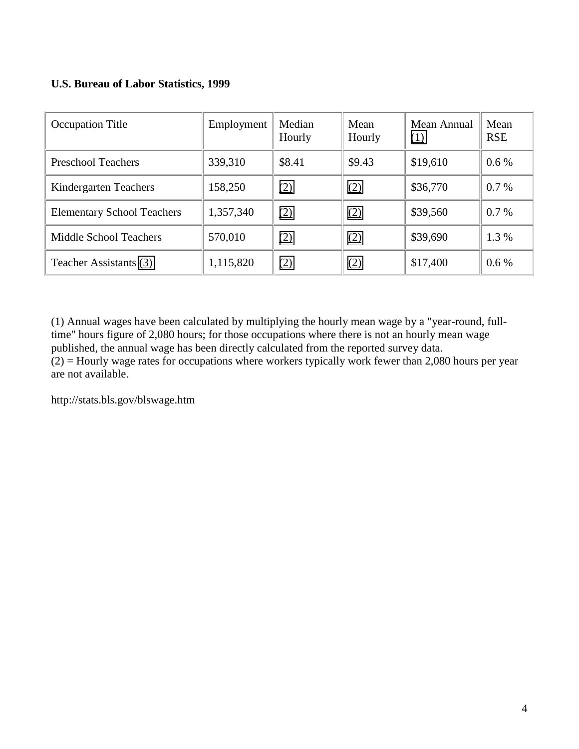### **U.S. Bureau of Labor Statistics, 1999**

| <b>Occupation Title</b>           | Employment | Median<br>Hourly | Mean<br>Hourly | Mean Annual<br>(1) | Mean<br><b>RSE</b> |
|-----------------------------------|------------|------------------|----------------|--------------------|--------------------|
| <b>Preschool Teachers</b>         | 339,310    | \$8.41           | \$9.43         | \$19,610           | $0.6\%$            |
| Kindergarten Teachers             | 158,250    | (2)              | (2)            | \$36,770           | $0.7\%$            |
| <b>Elementary School Teachers</b> | 1,357,340  | (2)              | (2)            | \$39,560           | 0.7%               |
| Middle School Teachers            | 570,010    | (2)              | (2)            | \$39,690           | 1.3 %              |
| Teacher Assistants (3)            | 1,115,820  | (2)              | (2)            | \$17,400           | $0.6\%$            |

(1) Annual wages have been calculated by multiplying the hourly mean wage by a "year-round, fulltime" hours figure of 2,080 hours; for those occupations where there is not an hourly mean wage published, the annual wage has been directly calculated from the reported survey data.  $(2)$  = Hourly wage rates for occupations where workers typically work fewer than 2,080 hours per year are not available.

http://stats.bls.gov/blswage.htm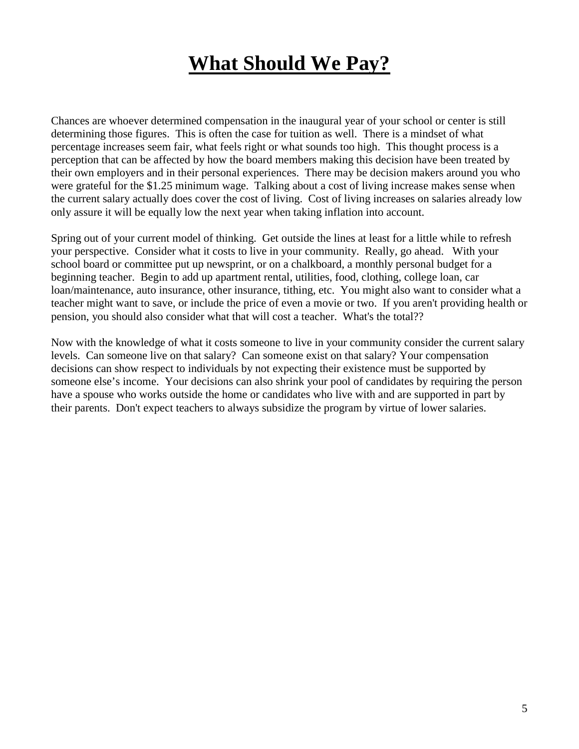# **What Should We Pay?**

Chances are whoever determined compensation in the inaugural year of your school or center is still determining those figures. This is often the case for tuition as well. There is a mindset of what percentage increases seem fair, what feels right or what sounds too high. This thought process is a perception that can be affected by how the board members making this decision have been treated by their own employers and in their personal experiences. There may be decision makers around you who were grateful for the \$1.25 minimum wage. Talking about a cost of living increase makes sense when the current salary actually does cover the cost of living. Cost of living increases on salaries already low only assure it will be equally low the next year when taking inflation into account.

Spring out of your current model of thinking. Get outside the lines at least for a little while to refresh your perspective. Consider what it costs to live in your community. Really, go ahead. With your school board or committee put up newsprint, or on a chalkboard, a monthly personal budget for a beginning teacher. Begin to add up apartment rental, utilities, food, clothing, college loan, car loan/maintenance, auto insurance, other insurance, tithing, etc. You might also want to consider what a teacher might want to save, or include the price of even a movie or two. If you aren't providing health or pension, you should also consider what that will cost a teacher. What's the total??

Now with the knowledge of what it costs someone to live in your community consider the current salary levels. Can someone live on that salary? Can someone exist on that salary? Your compensation decisions can show respect to individuals by not expecting their existence must be supported by someone else's income. Your decisions can also shrink your pool of candidates by requiring the person have a spouse who works outside the home or candidates who live with and are supported in part by their parents. Don't expect teachers to always subsidize the program by virtue of lower salaries.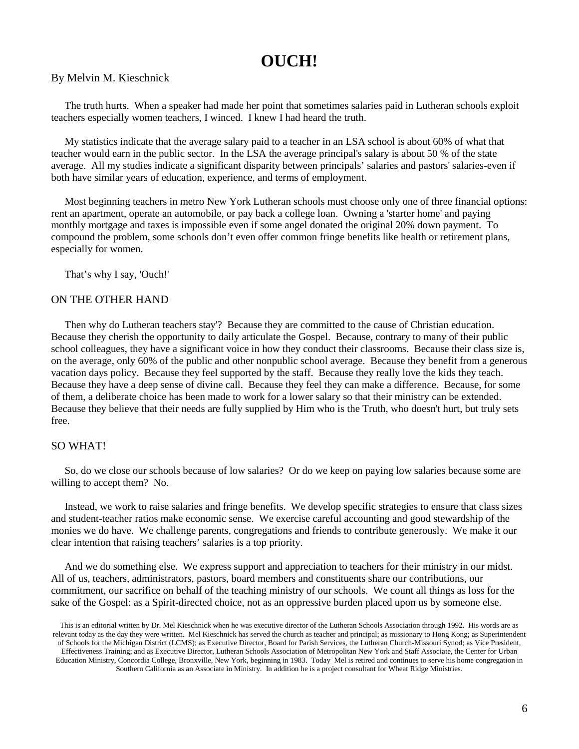### **OUCH!**

#### By Melvin M. Kieschnick

The truth hurts. When a speaker had made her point that sometimes salaries paid in Lutheran schools exploit teachers especially women teachers, I winced. I knew I had heard the truth.

My statistics indicate that the average salary paid to a teacher in an LSA school is about 60% of what that teacher would earn in the public sector. In the LSA the average principal's salary is about 50 % of the state average. All my studies indicate a significant disparity between principals' salaries and pastors' salaries-even if both have similar years of education, experience, and terms of employment.

Most beginning teachers in metro New York Lutheran schools must choose only one of three financial options: rent an apartment, operate an automobile, or pay back a college loan. Owning a 'starter home' and paying monthly mortgage and taxes is impossible even if some angel donated the original 20% down payment. To compound the problem, some schools don't even offer common fringe benefits like health or retirement plans, especially for women.

That's why I say, 'Ouch!'

#### ON THE OTHER HAND

Then why do Lutheran teachers stay'? Because they are committed to the cause of Christian education. Because they cherish the opportunity to daily articulate the Gospel. Because, contrary to many of their public school colleagues, they have a significant voice in how they conduct their classrooms. Because their class size is, on the average, only 60% of the public and other nonpublic school average. Because they benefit from a generous vacation days policy. Because they feel supported by the staff. Because they really love the kids they teach. Because they have a deep sense of divine call. Because they feel they can make a difference. Because, for some of them, a deliberate choice has been made to work for a lower salary so that their ministry can be extended. Because they believe that their needs are fully supplied by Him who is the Truth, who doesn't hurt, but truly sets free.

#### SO WHAT!

So, do we close our schools because of low salaries? Or do we keep on paying low salaries because some are willing to accept them? No.

Instead, we work to raise salaries and fringe benefits. We develop specific strategies to ensure that class sizes and student-teacher ratios make economic sense. We exercise careful accounting and good stewardship of the monies we do have. We challenge parents, congregations and friends to contribute generously. We make it our clear intention that raising teachers' salaries is a top priority.

And we do something else. We express support and appreciation to teachers for their ministry in our midst. All of us, teachers, administrators, pastors, board members and constituents share our contributions, our commitment, our sacrifice on behalf of the teaching ministry of our schools. We count all things as loss for the sake of the Gospel: as a Spirit-directed choice, not as an oppressive burden placed upon us by someone else.

This is an editorial written by Dr. Mel Kieschnick when he was executive director of the Lutheran Schools Association through 1992. His words are as relevant today as the day they were written. Mel Kieschnick has served the church as teacher and principal; as missionary to Hong Kong; as Superintendent of Schools for the Michigan District (LCMS); as Executive Director, Board for Parish Services, the Lutheran Church-Missouri Synod; as Vice President, Effectiveness Training; and as Executive Director, Lutheran Schools Association of Metropolitan New York and Staff Associate, the Center for Urban Education Ministry, Concordia College, Bronxville, New York, beginning in 1983. Today Mel is retired and continues to serve his home congregation in Southern California as an Associate in Ministry. In addition he is a project consultant for Wheat Ridge Ministries.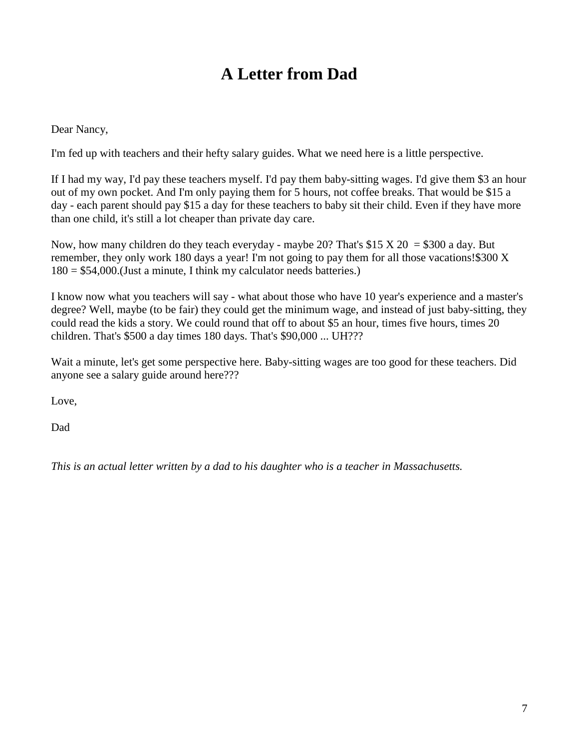## **A Letter from Dad**

Dear Nancy,

I'm fed up with teachers and their hefty salary guides. What we need here is a little perspective.

If I had my way, I'd pay these teachers myself. I'd pay them baby-sitting wages. I'd give them \$3 an hour out of my own pocket. And I'm only paying them for 5 hours, not coffee breaks. That would be \$15 a day - each parent should pay \$15 a day for these teachers to baby sit their child. Even if they have more than one child, it's still a lot cheaper than private day care.

Now, how many children do they teach everyday - maybe 20? That's \$15 X 20 = \$300 a day. But remember, they only work 180 days a year! I'm not going to pay them for all those vacations!\$300 X  $180 = $54,000$ . (Just a minute, I think my calculator needs batteries.)

I know now what you teachers will say - what about those who have 10 year's experience and a master's degree? Well, maybe (to be fair) they could get the minimum wage, and instead of just baby-sitting, they could read the kids a story. We could round that off to about \$5 an hour, times five hours, times 20 children. That's \$500 a day times 180 days. That's \$90,000 ... UH???

Wait a minute, let's get some perspective here. Baby-sitting wages are too good for these teachers. Did anyone see a salary guide around here???

Love,

Dad

*This is an actual letter written by a dad to his daughter who is a teacher in Massachusetts.*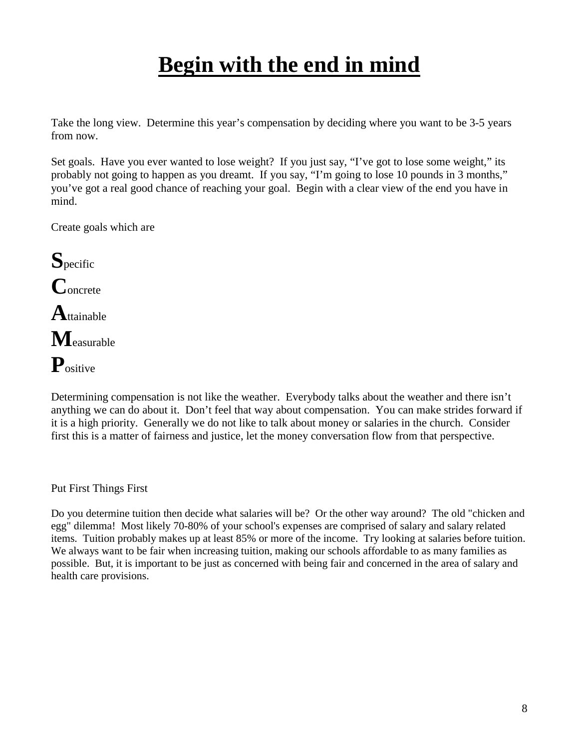# **Begin with the end in mind**

Take the long view. Determine this year's compensation by deciding where you want to be 3-5 years from now.

Set goals. Have you ever wanted to lose weight? If you just say, "I've got to lose some weight," its probably not going to happen as you dreamt. If you say, "I'm going to lose 10 pounds in 3 months," you've got a real good chance of reaching your goal. Begin with a clear view of the end you have in mind.

Create goals which are

**S**pecific **C**oncrete **A**ttainable **M**easurable **P**ositive

Determining compensation is not like the weather. Everybody talks about the weather and there isn't anything we can do about it. Don't feel that way about compensation. You can make strides forward if it is a high priority. Generally we do not like to talk about money or salaries in the church. Consider first this is a matter of fairness and justice, let the money conversation flow from that perspective.

Put First Things First

Do you determine tuition then decide what salaries will be? Or the other way around? The old "chicken and egg" dilemma! Most likely 70-80% of your school's expenses are comprised of salary and salary related items. Tuition probably makes up at least 85% or more of the income. Try looking at salaries before tuition. We always want to be fair when increasing tuition, making our schools affordable to as many families as possible. But, it is important to be just as concerned with being fair and concerned in the area of salary and health care provisions.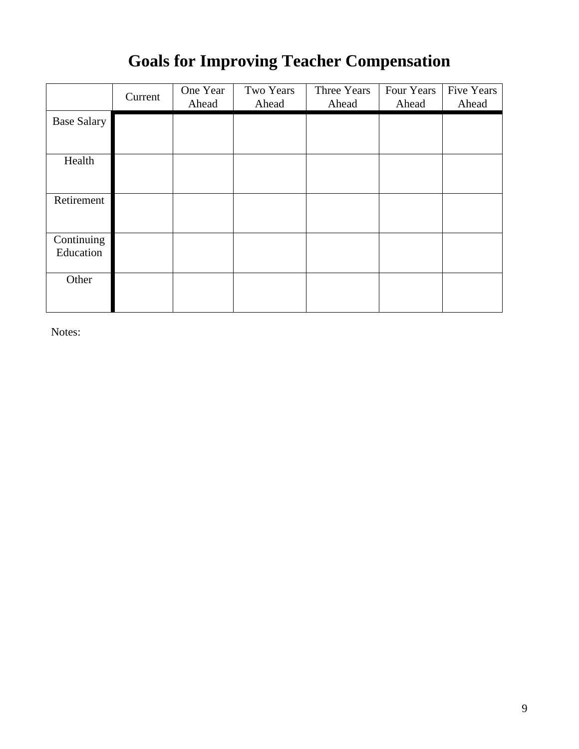## **Goals for Improving Teacher Compensation**

|                         | Current | One Year<br>Ahead | Two Years<br>Ahead | Three Years<br>Ahead | Four Years<br>Ahead | <b>Five Years</b><br>Ahead |
|-------------------------|---------|-------------------|--------------------|----------------------|---------------------|----------------------------|
| <b>Base Salary</b>      |         |                   |                    |                      |                     |                            |
| Health                  |         |                   |                    |                      |                     |                            |
| Retirement              |         |                   |                    |                      |                     |                            |
| Continuing<br>Education |         |                   |                    |                      |                     |                            |
| Other                   |         |                   |                    |                      |                     |                            |

Notes: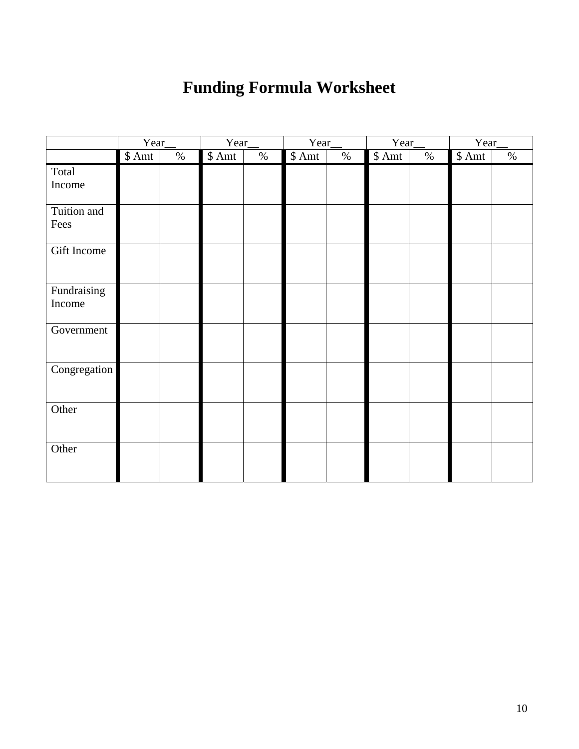## **Funding Formula Worksheet**

|              | Year   |      | Year   |      | Year   |      | Year   |      | Year   |      |
|--------------|--------|------|--------|------|--------|------|--------|------|--------|------|
|              | \$ Amt | $\%$ | \$ Amt | $\%$ | \$ Amt | $\%$ | \$ Amt | $\%$ | \$ Amt | $\%$ |
| Total        |        |      |        |      |        |      |        |      |        |      |
| Income       |        |      |        |      |        |      |        |      |        |      |
| Tuition and  |        |      |        |      |        |      |        |      |        |      |
| Fees         |        |      |        |      |        |      |        |      |        |      |
| Gift Income  |        |      |        |      |        |      |        |      |        |      |
| Fundraising  |        |      |        |      |        |      |        |      |        |      |
| Income       |        |      |        |      |        |      |        |      |        |      |
| Government   |        |      |        |      |        |      |        |      |        |      |
| Congregation |        |      |        |      |        |      |        |      |        |      |
| Other        |        |      |        |      |        |      |        |      |        |      |
| Other        |        |      |        |      |        |      |        |      |        |      |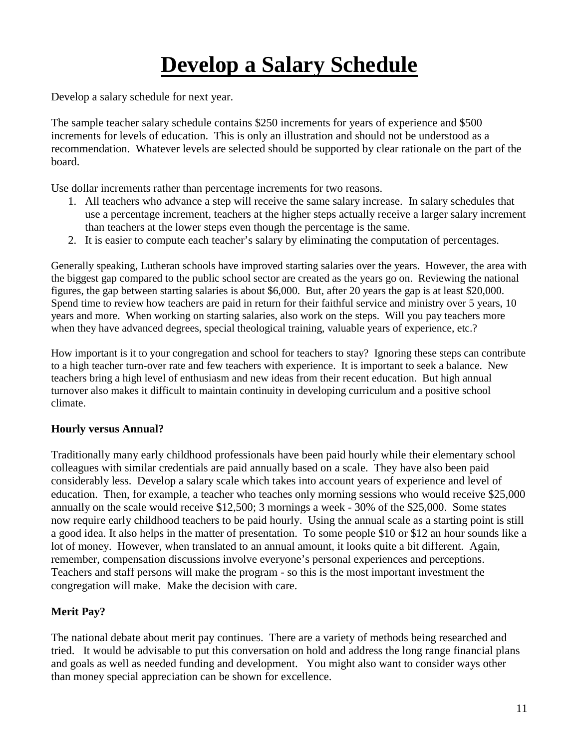# **Develop a Salary Schedule**

Develop a salary schedule for next year.

The sample teacher salary schedule contains \$250 increments for years of experience and \$500 increments for levels of education. This is only an illustration and should not be understood as a recommendation. Whatever levels are selected should be supported by clear rationale on the part of the board.

Use dollar increments rather than percentage increments for two reasons.

- 1. All teachers who advance a step will receive the same salary increase. In salary schedules that use a percentage increment, teachers at the higher steps actually receive a larger salary increment than teachers at the lower steps even though the percentage is the same.
- 2. It is easier to compute each teacher's salary by eliminating the computation of percentages.

Generally speaking, Lutheran schools have improved starting salaries over the years. However, the area with the biggest gap compared to the public school sector are created as the years go on. Reviewing the national figures, the gap between starting salaries is about \$6,000. But, after 20 years the gap is at least \$20,000. Spend time to review how teachers are paid in return for their faithful service and ministry over 5 years, 10 years and more. When working on starting salaries, also work on the steps. Will you pay teachers more when they have advanced degrees, special theological training, valuable years of experience, etc.?

How important is it to your congregation and school for teachers to stay? Ignoring these steps can contribute to a high teacher turn-over rate and few teachers with experience. It is important to seek a balance. New teachers bring a high level of enthusiasm and new ideas from their recent education. But high annual turnover also makes it difficult to maintain continuity in developing curriculum and a positive school climate.

### **Hourly versus Annual?**

Traditionally many early childhood professionals have been paid hourly while their elementary school colleagues with similar credentials are paid annually based on a scale. They have also been paid considerably less. Develop a salary scale which takes into account years of experience and level of education. Then, for example, a teacher who teaches only morning sessions who would receive \$25,000 annually on the scale would receive \$12,500; 3 mornings a week - 30% of the \$25,000. Some states now require early childhood teachers to be paid hourly. Using the annual scale as a starting point is still a good idea. It also helps in the matter of presentation. To some people \$10 or \$12 an hour sounds like a lot of money. However, when translated to an annual amount, it looks quite a bit different. Again, remember, compensation discussions involve everyone's personal experiences and perceptions. Teachers and staff persons will make the program - so this is the most important investment the congregation will make. Make the decision with care.

### **Merit Pay?**

The national debate about merit pay continues. There are a variety of methods being researched and tried. It would be advisable to put this conversation on hold and address the long range financial plans and goals as well as needed funding and development. You might also want to consider ways other than money special appreciation can be shown for excellence.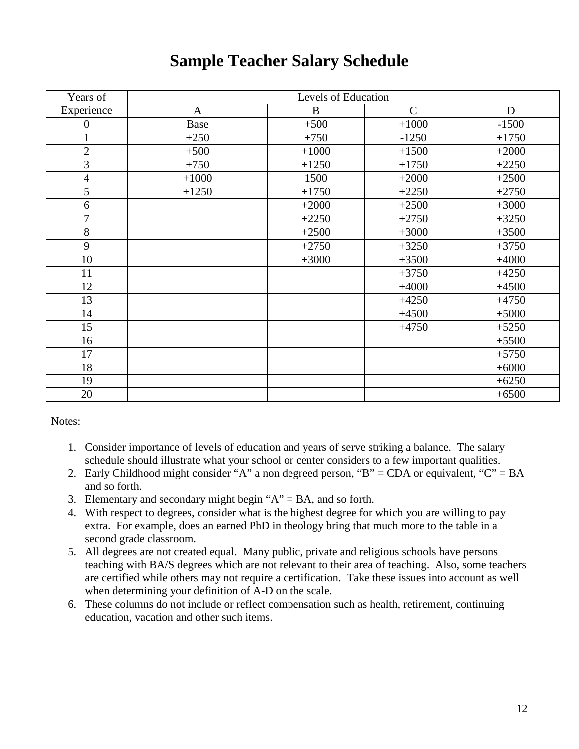## **Sample Teacher Salary Schedule**

| Years of         | Levels of Education |         |              |         |  |  |  |  |
|------------------|---------------------|---------|--------------|---------|--|--|--|--|
| Experience       | $\mathbf{A}$        | B       | $\mathsf{C}$ | D       |  |  |  |  |
| $\boldsymbol{0}$ | Base                | $+500$  | $+1000$      | $-1500$ |  |  |  |  |
| $\mathbf 1$      | $+250$              | $+750$  | $-1250$      | $+1750$ |  |  |  |  |
| $\sqrt{2}$       | $+500$              | $+1000$ | $+1500$      | $+2000$ |  |  |  |  |
| $\overline{3}$   | $+750$              | $+1250$ | $+1750$      | $+2250$ |  |  |  |  |
| $\overline{4}$   | $+1000$             | 1500    | $+2000$      | $+2500$ |  |  |  |  |
| 5                | $+1250$             | $+1750$ | $+2250$      | $+2750$ |  |  |  |  |
| 6                |                     | $+2000$ | $+2500$      | $+3000$ |  |  |  |  |
| $\overline{7}$   |                     | $+2250$ | $+2750$      | $+3250$ |  |  |  |  |
| $8\,$            |                     | $+2500$ | $+3000$      | $+3500$ |  |  |  |  |
| 9                |                     | $+2750$ | $+3250$      | $+3750$ |  |  |  |  |
| 10               |                     | $+3000$ | $+3500$      | $+4000$ |  |  |  |  |
| 11               |                     |         | $+3750$      | $+4250$ |  |  |  |  |
| 12               |                     |         | $+4000$      | $+4500$ |  |  |  |  |
| 13               |                     |         | $+4250$      | $+4750$ |  |  |  |  |
| 14               |                     |         | $+4500$      | $+5000$ |  |  |  |  |
| 15               |                     |         | $+4750$      | $+5250$ |  |  |  |  |
| 16               |                     |         |              | $+5500$ |  |  |  |  |
| 17               |                     |         |              | $+5750$ |  |  |  |  |
| 18               |                     |         |              | $+6000$ |  |  |  |  |
| 19               |                     |         |              | $+6250$ |  |  |  |  |
| 20               |                     |         |              | $+6500$ |  |  |  |  |

Notes:

- 1. Consider importance of levels of education and years of serve striking a balance. The salary schedule should illustrate what your school or center considers to a few important qualities.
- 2. Early Childhood might consider "A" a non degreed person, "B" = CDA or equivalent, "C" = BA and so forth.
- 3. Elementary and secondary might begin " $A$ " = BA, and so forth.
- 4. With respect to degrees, consider what is the highest degree for which you are willing to pay extra. For example, does an earned PhD in theology bring that much more to the table in a second grade classroom.
- 5. All degrees are not created equal. Many public, private and religious schools have persons teaching with BA/S degrees which are not relevant to their area of teaching. Also, some teachers are certified while others may not require a certification. Take these issues into account as well when determining your definition of A-D on the scale.
- 6. These columns do not include or reflect compensation such as health, retirement, continuing education, vacation and other such items.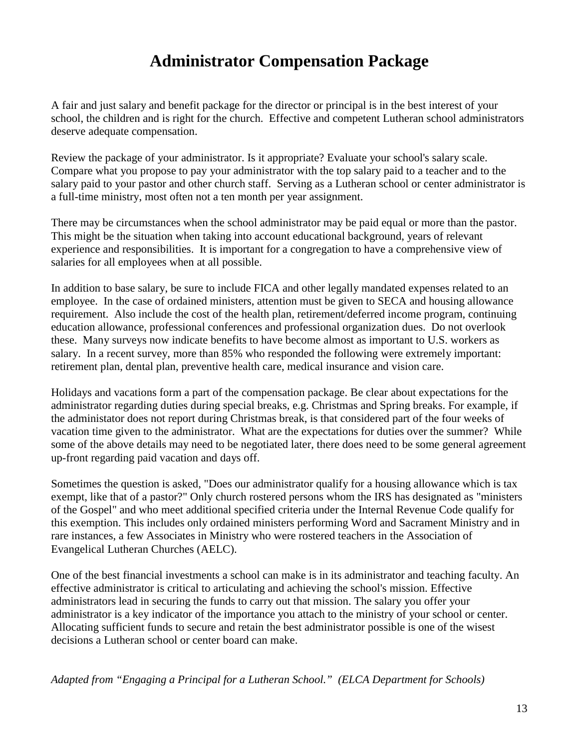## **Administrator Compensation Package**

A fair and just salary and benefit package for the director or principal is in the best interest of your school, the children and is right for the church. Effective and competent Lutheran school administrators deserve adequate compensation.

Review the package of your administrator. Is it appropriate? Evaluate your school's salary scale. Compare what you propose to pay your administrator with the top salary paid to a teacher and to the salary paid to your pastor and other church staff. Serving as a Lutheran school or center administrator is a full-time ministry, most often not a ten month per year assignment.

There may be circumstances when the school administrator may be paid equal or more than the pastor. This might be the situation when taking into account educational background, years of relevant experience and responsibilities. It is important for a congregation to have a comprehensive view of salaries for all employees when at all possible.

In addition to base salary, be sure to include FICA and other legally mandated expenses related to an employee. In the case of ordained ministers, attention must be given to SECA and housing allowance requirement. Also include the cost of the health plan, retirement/deferred income program, continuing education allowance, professional conferences and professional organization dues. Do not overlook these. Many surveys now indicate benefits to have become almost as important to U.S. workers as salary. In a recent survey, more than 85% who responded the following were extremely important: retirement plan, dental plan, preventive health care, medical insurance and vision care.

Holidays and vacations form a part of the compensation package. Be clear about expectations for the administrator regarding duties during special breaks, e.g. Christmas and Spring breaks. For example, if the administator does not report during Christmas break, is that considered part of the four weeks of vacation time given to the administrator. What are the expectations for duties over the summer? While some of the above details may need to be negotiated later, there does need to be some general agreement up-front regarding paid vacation and days off.

Sometimes the question is asked, "Does our administrator qualify for a housing allowance which is tax exempt, like that of a pastor?" Only church rostered persons whom the IRS has designated as "ministers of the Gospel" and who meet additional specified criteria under the Internal Revenue Code qualify for this exemption. This includes only ordained ministers performing Word and Sacrament Ministry and in rare instances, a few Associates in Ministry who were rostered teachers in the Association of Evangelical Lutheran Churches (AELC).

One of the best financial investments a school can make is in its administrator and teaching faculty. An effective administrator is critical to articulating and achieving the school's mission. Effective administrators lead in securing the funds to carry out that mission. The salary you offer your administrator is a key indicator of the importance you attach to the ministry of your school or center. Allocating sufficient funds to secure and retain the best administrator possible is one of the wisest decisions a Lutheran school or center board can make.

*Adapted from "Engaging a Principal for a Lutheran School." (ELCA Department for Schools)*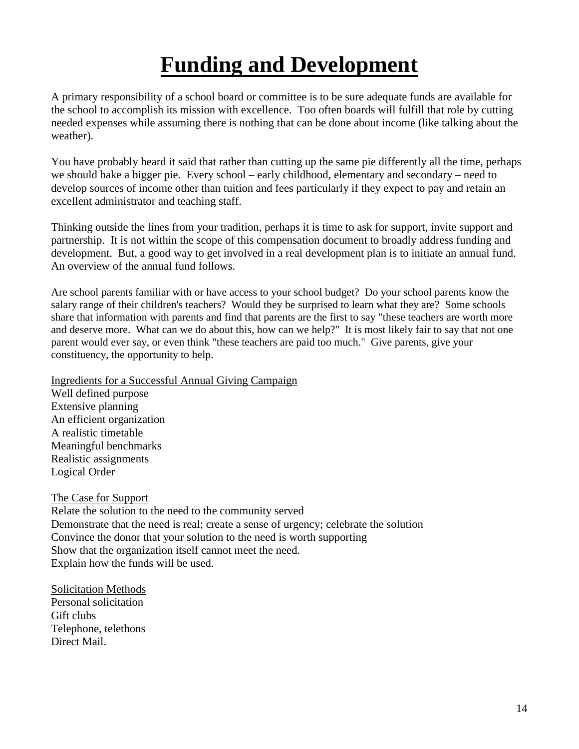# **Funding and Development**

A primary responsibility of a school board or committee is to be sure adequate funds are available for the school to accomplish its mission with excellence. Too often boards will fulfill that role by cutting needed expenses while assuming there is nothing that can be done about income (like talking about the weather).

You have probably heard it said that rather than cutting up the same pie differently all the time, perhaps we should bake a bigger pie. Every school – early childhood, elementary and secondary – need to develop sources of income other than tuition and fees particularly if they expect to pay and retain an excellent administrator and teaching staff.

Thinking outside the lines from your tradition, perhaps it is time to ask for support, invite support and partnership. It is not within the scope of this compensation document to broadly address funding and development. But, a good way to get involved in a real development plan is to initiate an annual fund. An overview of the annual fund follows.

Are school parents familiar with or have access to your school budget? Do your school parents know the salary range of their children's teachers? Would they be surprised to learn what they are? Some schools share that information with parents and find that parents are the first to say "these teachers are worth more and deserve more. What can we do about this, how can we help?" It is most likely fair to say that not one parent would ever say, or even think "these teachers are paid too much." Give parents, give your constituency, the opportunity to help.

Ingredients for a Successful Annual Giving Campaign

Well defined purpose Extensive planning An efficient organization A realistic timetable Meaningful benchmarks Realistic assignments Logical Order

### The Case for Support

Relate the solution to the need to the community served Demonstrate that the need is real; create a sense of urgency; celebrate the solution Convince the donor that your solution to the need is worth supporting Show that the organization itself cannot meet the need. Explain how the funds will be used.

Solicitation Methods Personal solicitation Gift clubs Telephone, telethons Direct Mail.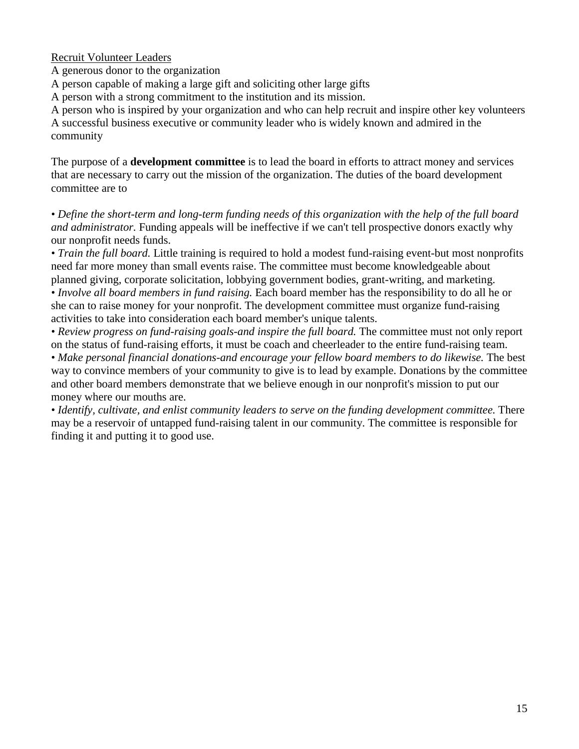### Recruit Volunteer Leaders

A generous donor to the organization

A person capable of making a large gift and soliciting other large gifts

A person with a strong commitment to the institution and its mission.

A person who is inspired by your organization and who can help recruit and inspire other key volunteers A successful business executive or community leader who is widely known and admired in the community

The purpose of a **development committee** is to lead the board in efforts to attract money and services that are necessary to carry out the mission of the organization. The duties of the board development committee are to

*• Define the short-term and long-term funding needs of this organization with the help of the full board and administrator.* Funding appeals will be ineffective if we can't tell prospective donors exactly why our nonprofit needs funds.

*• Train the full board.* Little training is required to hold a modest fund-raising event-but most nonprofits need far more money than small events raise. The committee must become knowledgeable about planned giving, corporate solicitation, lobbying government bodies, grant-writing, and marketing.

*• Involve all board members in fund raising.* Each board member has the responsibility to do all he or she can to raise money for your nonprofit. The development committee must organize fund-raising activities to take into consideration each board member's unique talents.

• Review progress on fund-raising goals-and inspire the full board. The committee must not only report on the status of fund-raising efforts, it must be coach and cheerleader to the entire fund-raising team.

• Make personal financial donations-and encourage your fellow board members to do likewise. The best way to convince members of your community to give is to lead by example. Donations by the committee and other board members demonstrate that we believe enough in our nonprofit's mission to put our money where our mouths are.

• Identify, cultivate, and enlist community leaders to serve on the funding development committee. There may be a reservoir of untapped fund-raising talent in our community. The committee is responsible for finding it and putting it to good use.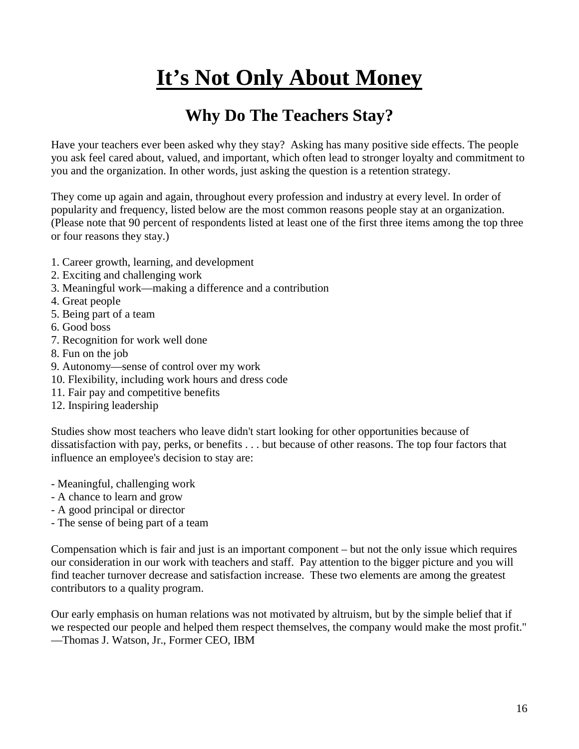# **It's Not Only About Money**

## **Why Do The Teachers Stay?**

Have your teachers ever been asked why they stay? Asking has many positive side effects. The people you ask feel cared about, valued, and important, which often lead to stronger loyalty and commitment to you and the organization. In other words, just asking the question is a retention strategy.

They come up again and again, throughout every profession and industry at every level. In order of popularity and frequency, listed below are the most common reasons people stay at an organization. (Please note that 90 percent of respondents listed at least one of the first three items among the top three or four reasons they stay.)

- 1. Career growth, learning, and development
- 2. Exciting and challenging work
- 3. Meaningful work—making a difference and a contribution
- 4. Great people
- 5. Being part of a team
- 6. Good boss
- 7. Recognition for work well done
- 8. Fun on the job
- 9. Autonomy—sense of control over my work
- 10. Flexibility, including work hours and dress code
- 11. Fair pay and competitive benefits
- 12. Inspiring leadership

Studies show most teachers who leave didn't start looking for other opportunities because of dissatisfaction with pay, perks, or benefits . . . but because of other reasons. The top four factors that influence an employee's decision to stay are:

- Meaningful, challenging work
- A chance to learn and grow
- A good principal or director
- The sense of being part of a team

Compensation which is fair and just is an important component – but not the only issue which requires our consideration in our work with teachers and staff. Pay attention to the bigger picture and you will find teacher turnover decrease and satisfaction increase. These two elements are among the greatest contributors to a quality program.

Our early emphasis on human relations was not motivated by altruism, but by the simple belief that if we respected our people and helped them respect themselves, the company would make the most profit." —Thomas J. Watson, Jr., Former CEO, IBM